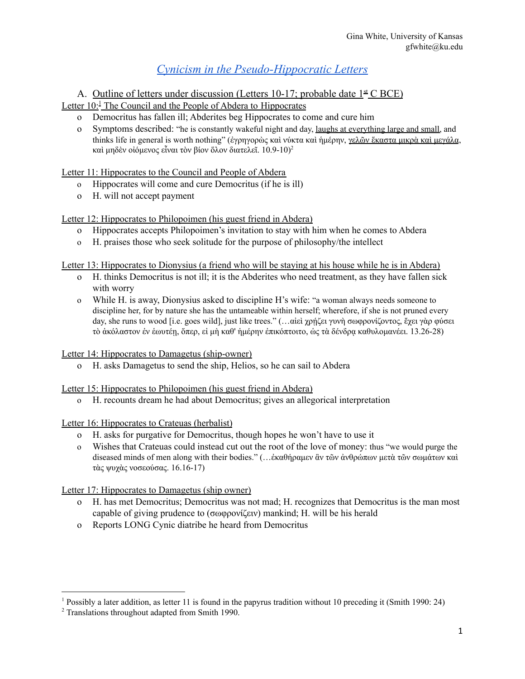# *Cynicism in the [Pseudo-Hippocratic](https://camws.org/sites/default/files/meeting2022/2803CynicismPseudo.pdf) Letters*

A. Outline of letters under discussion (Letters 10-17; probable date  $1^{\underline{\text{st}}}$  C BCE)

Letter 10:<sup>1</sup> The Council and the People of Abdera to Hippocrates

- o Democritus has fallen ill; Abderites beg Hippocrates to come and cure him
- o Symptoms described: "he is constantly wakeful night and day, laughs at everything large and small, and thinks life in general is worth nothing" (ἐγρηγορὼς καὶ νύκτα καὶ ἡμέρην, γελῶν ἕκαστα μικρὰ καὶ μεγάλα, καὶ μηδὲν οἰόμενος εἶναι τὸν βίον ὅλον διατελεῖ.  $10.9$ - $10)^2$

Letter 11: Hippocrates to the Council and People of Abdera

- o Hippocrates will come and cure Democritus (if he is ill)
- o H. will not accept payment

#### Letter 12: Hippocrates to Philopoimen (his guest friend in Abdera)

- o Hippocrates accepts Philopoimen's invitation to stay with him when he comes to Abdera
- o H. praises those who seek solitude for the purpose of philosophy/the intellect

Letter 13: Hippocrates to Dionysius (a friend who will be staying at his house while he is in Abdera)

- o H. thinks Democritus is not ill; it is the Abderites who need treatment, as they have fallen sick with worry
- o While H. is away, Dionysius asked to discipline H's wife: "a woman always needs someone to discipline her, for by nature she has the untameable within herself; wherefore, if she is not pruned every day, she runs to wood [i.e. goes wild], just like trees." (...αἰεὶ χρήζει γυνὴ σωφρονίζοντος, ἔχει γὰρ φύσει τὸ ἀκόλαστον ἐν ἑωυτέῃ, ὅπερ, εἰ μὴ καθ' ἡμέρην ἐπικόπτοιτο, ὡς τὰ δένδρᾳ καθυλομανέει. 13.26-28)

Letter 14: Hippocrates to Damagetus (ship-owner)

o H. asks Damagetus to send the ship, Helios, so he can sail to Abdera

#### Letter 15: Hippocrates to Philopoimen (his guest friend in Abdera)

o H. recounts dream he had about Democritus; gives an allegorical interpretation

Letter 16: Hippocrates to Crateuas (herbalist)

- o H. asks for purgative for Democritus, though hopes he won't have to use it
- o Wishes that Crateuas could instead cut out the root of the love of money: thus "we would purge the diseased minds of men along with their bodies." (…ἐκαθήραμεν ἂν τῶν ἀνθρώπων μετὰ τῶν σωμάτων καὶ τὰς ψυχὰς νοσεούσας. 16.16-17)

### Letter 17: Hippocrates to Damagetus (ship owner)

- o H. has met Democritus; Democritus was not mad; H. recognizes that Democritus is the man most capable of giving prudence to (σωφρονίζειν) mankind; H. will be his herald
- o Reports LONG Cynic diatribe he heard from Democritus

<sup>&</sup>lt;sup>1</sup> Possibly a later addition, as letter 11 is found in the papyrus tradition without 10 preceding it (Smith 1990: 24)

<sup>2</sup> Translations throughout adapted from Smith 1990.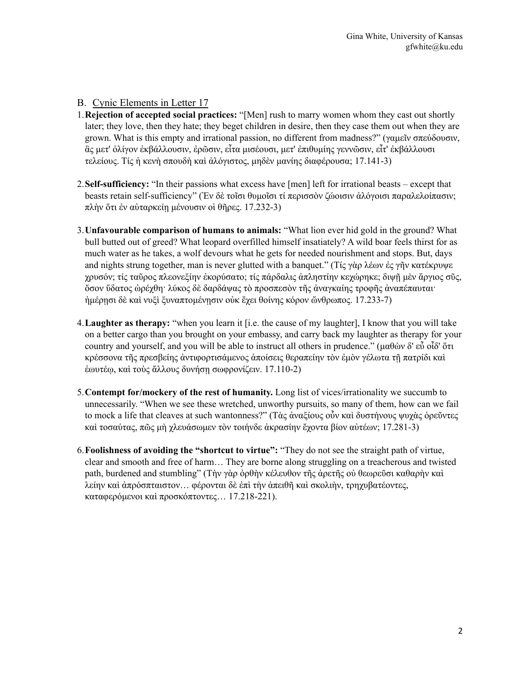### B. Cynic Elements in Letter 17

- 1.**Rejection of accepted social practices:** "[Men] rush to marry women whom they cast out shortly later; they love, then they hate; they beget children in desire, then they case them out when they are grown. What is this empty and irrational passion, no different from madness?" (γαμεῖν σπεύδουσιν, ἃς μετ' ὀλίγον ἐκβάλλουσιν, ἐρῶσιν, εἶτα μισέουσι, μετ' ἐπιθυμίης γεννῶσιν, εἶτ' ἐκβάλλουσι τελείους. Τίς ἡ κενὴ σπουδὴ καὶ ἀλόγιστος, μηδὲν μανίης διαφέρουσα; 17.141-3)
- 2.**Self-sufficiency:** "In their passions what excess have [men] left for irrational beasts except that beasts retain self-sufficiency" (Ἐν δὲ τοῖσι θυμοῖσι τί περισσὸν ζώοισιν ἀλόγοισι παραλελοίπασιν; πλὴν ὅτι ἐν αὐταρκείῃ μένουσιν οἱ θῆρες. 17.232-3)
- 3.**Unfavourable comparison of humans to animals:** "What lion ever hid gold in the ground? What bull butted out of greed? What leopard overfilled himself insatiately? A wild boar feels thirst for as much water as he takes, a wolf devours what he gets for needed nourishment and stops. But, days and nights strung together, man is never glutted with a banquet." (Τίς γὰρ λέων ἐς γῆν κατέκρυψε χρυσόν; τίς ταῦρος πλεονεξίην ἐκορύσατο; τίς πάρδαλις ἀπληστίην κεχώρηκε; διψῇ μὲν ἄργιος σῦς, ὅσον ὕδατος ὠρέχθη· λύκος δὲ δαρδάψας τὸ προσπεσὸν τῆς ἀναγκαίης τροφῆς ἀναπέπαυται· ἡμέρῃσι δὲ καὶ νυξὶ ξυναπτομένῃσιν οὐκ ἔχει θοίνης κόρον ὤνθρωπος. 17.233-7)
- 4.**Laughter as therapy:** "when you learn it [i.e. the cause of my laughter], I know that you will take on a better cargo than you brought on your embassy, and carry back my laughter as therapy for your country and yourself, and you will be able to instruct all others in prudence." (μαθών δ' εὖ οἶδ' ὅτι κρέσσονα τῆς πρεσβείης ἀντιφορτισάμενος ἀποίσεις θεραπείην τὸν ἐμὸν γέλωτα τῇ πατρίδι καὶ ἑωυτέῳ, καὶ τοὺς ἄλλους δυνήσῃ σωφρονίζειν. 17.110-2)
- 5.**Contempt for/mockery of the rest of humanity.** Long list of vices/irrationality we succumb to unnecessarily. "When we see these wretched, unworthy pursuits, so many of them, how can we fail to mock a life that cleaves at such wantonness?" (Τὰς ἀναξίους οὖν καὶ δυστήνους ψυχὰς ὁρεῦντες καὶ τοσαύτας, πῶς μὴ χλευάσωμεν τὸν τοιήνδε ἀκρασίην ἔχοντα βίον αὐτέων; 17.281-3)
- 6.**Foolishness of avoiding the "shortcut to virtue":** "Τhey do not see the straight path of virtue, clear and smooth and free of harm… They are borne along struggling on a treacherous and twisted path, burdened and stumbling" (Τὴν γὰρ ὀρθὴν κέλευθον τῆς ἀρετῆς οὐ θεωρεῦσι καθαρὴν καὶ λείην καὶ ἀπρόσπταιστον… φέρονται δὲ ἐπὶ τὴν ἀπειθῆ καὶ σκολιὴν, τρηχυβατέοντες, καταφερόμενοι καὶ προσκόπτοντες… 17.218-221).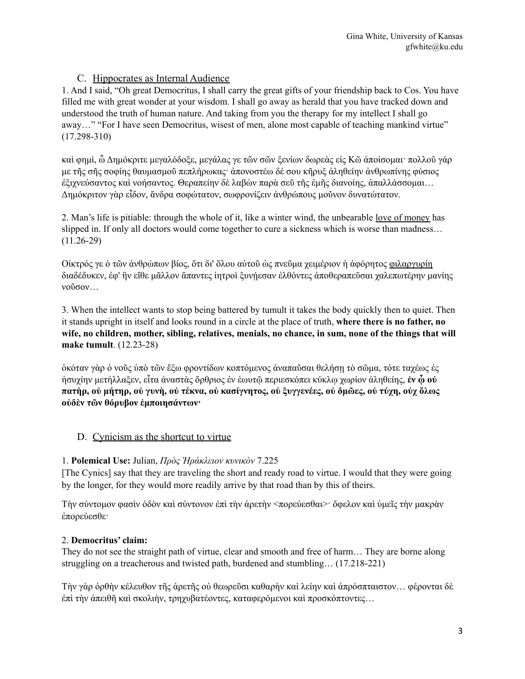# C. Hippocrates as Internal Audience

1. And I said, "Oh great Democritus, I shall carry the great gifts of your friendship back to Cos. You have filled me with great wonder at your wisdom. I shall go away as herald that you have tracked down and understood the truth of human nature. And taking from you the therapy for my intellect I shall go away…" "For I have seen Democritus, wisest of men, alone most capable of teaching mankind virtue" (17.298-310)

καὶ φημὶ, ὦ Δημόκριτε μεγαλόδοξε, μεγάλας γε τῶν σῶν ξενίων δωρεὰς εἰς Κῶ ἀποίσομαι· πολλοῦ γάρ με τῆς σῆς σοφίης θαυμασμοῦ πεπλήρωκας· ἀπονοστέω δέ σου κῆρυξ ἀληθείην ἀνθρωπίνης φύσιος ἐξιχνεύσαντος καὶ νοήσαντος. Θεραπείην δὲ λαβὼν παρὰ σεῦ τῆς ἐμῆς διανοίης, ἀπαλλάσσομαι… Δημόκριτον γὰρ εἶδον, ἄνδρα σοφώτατον, σωφρονίζειν ἀνθρώπους μοῦνον δυνατώτατον.

2. Man's life is pitiable: through the whole of it, like a winter wind, the unbearable love of money has slipped in. If only all doctors would come together to cure a sickness which is worse than madness… (11.26-29)

Οἰκτρός γε ὁ τῶν ἀνθρώπων βίος, ὅτι δι' ὅλου αὐτοῦ ὡς πνεῦμα χειμέριον ἡ ἀφόρητος φιλαργυρίη διαδέδυκεν, ἐφ' ἣν εἴθε μᾶλλον ἅπαντες ἰητροὶ ξυνῄεσαν ἐλθόντες ἀποθεραπεῦσαι χαλεπωτέρην μανίης νοῦσον…

3. When the intellect wants to stop being battered by tumult it takes the body quickly then to quiet. Then it stands upright in itself and looks round in a circle at the place of truth, **where there is no father, no wife, no children, mother, sibling, relatives, menials, no chance, in sum, none of the things that will make tumult**. (12.23-28)

ὁκόταν γὰρ ὁ νοῦς ὑπὸ τῶν ἔξω φροντίδων κοπτόμενος ἀναπαῦσαι θελήσῃ τὸ σῶμα, τότε ταχέως ἐς ἡσυχίην μετήλλαξεν, εἶτα ἀναστὰς ὄρθριος ἐν ἑωυτῷ περιεσκόπει κύκλῳ χωρίον ἀληθείης, **ἐν ᾧ οὐ πατὴρ, οὐ μήτηρ, οὐ γυνὴ, οὐ τέκνα, οὐ κασίγνητος, οὐ ξυγγενέες, οὐ δμῶες, οὐ τύχη, οὐχ ὅλως οὐδὲν τῶν θόρυβον ἐμποιησάντων·**

# D. Cynicism as the shortcut to virtue

### 1. **Polemical Use:** Julian, *Πρὸς Ἡράκλειον κυνικὸν* 7.225

[The Cynics] say that they are traveling the short and ready road to virtue. I would that they were going by the longer, for they would more readily arrive by that road than by this of theirs.

Τὴν σύντομον φασὶν ὁδὸν καὶ σύντονον ἐπὶ τὴν ἀρετὴν <πορεύεσθαι>· ὄφελον καὶ ὑμεῖς τὴν μακρὰν ἐπορεύεσθε·

### 2. **Democritus' claim:**

They do not see the straight path of virtue, clear and smooth and free of harm... They are borne along struggling on a treacherous and twisted path, burdened and stumbling… (17.218-221)

Τὴν γὰρ ὀρθὴν κέλευθον τῆς ἀρετῆς οὐ θεωρεῦσι καθαρὴν καὶ λείην καὶ ἀπρόσπταιστον… φέρονται δὲ ἐπὶ τὴν ἀπειθῆ καὶ σκολιὴν, τρηχυβατέοντες, καταφερόμενοι καὶ προσκόπτοντες…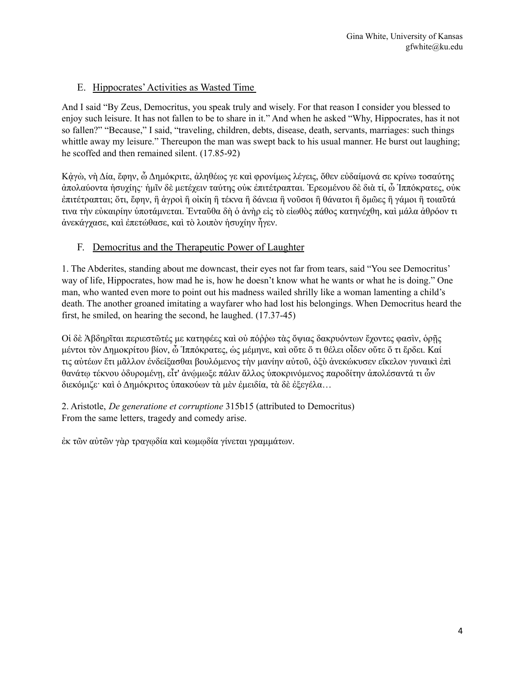# E. Hippocrates'Activities as Wasted Time

And I said "By Zeus, Democritus, you speak truly and wisely. For that reason I consider you blessed to enjoy such leisure. It has not fallen to be to share in it." And when he asked "Why, Hippocrates, has it not so fallen?" "Because," I said, "traveling, children, debts, disease, death, servants, marriages: such things whittle away my leisure." Thereupon the man was swept back to his usual manner. He burst out laughing; he scoffed and then remained silent. (17.85-92)

Κᾀγὼ, νὴ Δία, ἔφην, ὦ Δημόκριτε, ἀληθέως γε καὶ φρονίμως λέγεις, ὅθεν εὐδαίμονά σε κρίνω τοσαύτης ἀπολαύοντα ἡσυχίης· ἡμῖν δὲ μετέχειν ταύτης οὐκ ἐπιτέτραπται. Ἐρεομένου δὲ διὰ τί, ὦ Ἱππόκρατες, οὐκ ἐπιτέτραπται; ὅτι, ἔφην, ἢ ἀγροὶ ἢ οἰκίη ἢ τέκνα ἢ δάνεια ἢ νοῦσοι ἢ θάνατοι ἢ δμῶες ἢ γάμοι ἢ τοιαῦτά τινα τὴν εὐκαιρίην ὑποτάμνεται. Ἐνταῦθα δὴ ὁ ἀνὴρ εἰς τὸ εἰωθὸς πάθος κατηνέχθη, καὶ μάλα ἀθρόον τι ἀνεκάγχασε, καὶ ἐπετώθασε, καὶ τὸ λοιπὸν ἡσυχίην ἦγεν.

## F. Democritus and the Therapeutic Power of Laughter

1. The Abderites, standing about me downcast, their eyes not far from tears, said "You see Democritus' way of life, Hippocrates, how mad he is, how he doesn't know what he wants or what he is doing." One man, who wanted even more to point out his madness wailed shrilly like a woman lamenting a child's death. The another groaned imitating a wayfarer who had lost his belongings. When Democritus heard the first, he smiled, on hearing the second, he laughed. (17.37-45)

Οἱ δὲ Ἀβδηρῖται περιεστῶτές με κατηφέες καὶ οὐ πόῤῥω τὰς ὄψιας δακρυόντων ἔχοντες φασὶν, ὁρῇς μέντοι τὸν Δημοκρίτου βίον, ὦ Ἱππόκρατες, ὡς μέμηνε, καὶ οὔτε ὅ τι θέλει οἶδεν οὔτε ὅ τι ἕρδει. Καί τις αὐτέων ἔτι μᾶλλον ἐνδείξασθαι βουλόμενος τὴν μανίην αὐτοῦ, ὀξὺ ἀνεκώκυσεν εἴκελον γυναικὶ ἐπὶ θανάτῳ τέκνου ὀδυρομένῃ, εἶτ' ἀνῴμωξε πάλιν ἄλλος ὑποκρινόμενος παροδίτην ἀπολέσαντά τι ὧν διεκόμιζε· καὶ ὁ Δημόκριτος ὑπακούων τὰ μὲν ἐμειδία, τὰ δὲ ἐξεγέλα…

2. Aristotle, *De generatione et corruptione* 315b15 (attributed to Democritus) From the same letters, tragedy and comedy arise.

ἐκ τῶν αὐτῶν γὰρ τραγῳδία καὶ κωμῳδία γίνεται γραμμάτων.